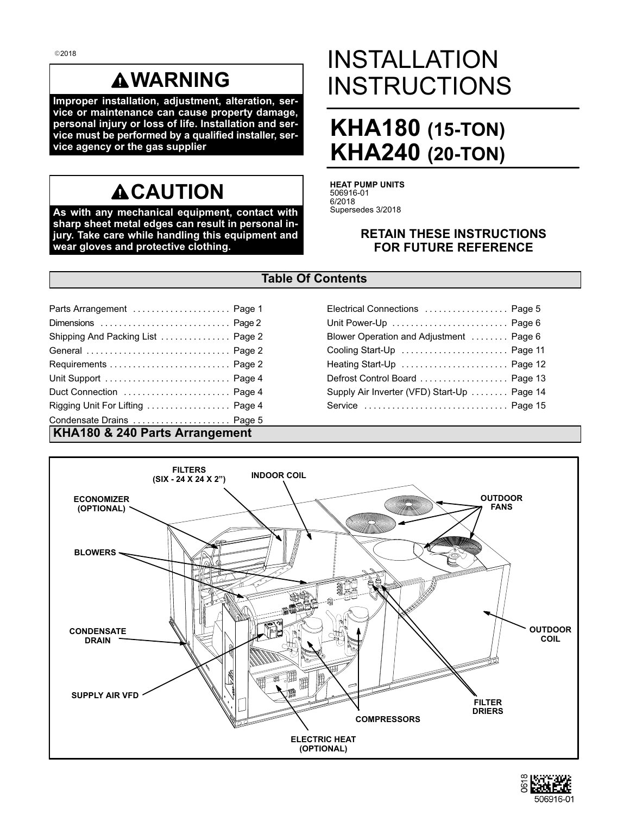# **WARNING**

**Improper installation, adjustment, alteration, service or maintenance can cause property damage, personal injury or loss of life. Installation and service must be performed by a qualified installer, service agency or the gas supplier**

# **ACAUTION**

**As with any mechanical equipment, contact with sharp sheet metal edges can result in personal injury. Take care while handling this equipment and wear gloves and protective clothing.**

# INSTALLATION **INSTRUCTIONS**

# **KHA180 (15‐TON) KHA240 (20‐TON)**

**HEAT PUMP UNITS** 506916-01 6/2018 Supersedes 3/2018

### **RETAIN THESE INSTRUCTIONS FOR FUTURE REFERENCE**

### **Table Of Contents**

| Parts Arrangement  Page 1             | Electrical Connections  Page 5              |
|---------------------------------------|---------------------------------------------|
|                                       | Unit Power-Up  Page 6                       |
| Shipping And Packing List  Page 2     | Blower Operation and Adjustment  Page 6     |
|                                       | Cooling Start-Up  Page 11                   |
|                                       | Heating Start-Up  Page 12                   |
| Unit Support  Page 4                  | Defrost Control Board  Page 13              |
| Duct Connection  Page 4               | Supply Air Inverter (VFD) Start-Up  Page 14 |
| Rigging Unit For Lifting  Page 4      |                                             |
| Condensate Drains  Page 5             |                                             |
| <b>VUA100 9 240 Dorto Arrongomont</b> |                                             |

## **KHA180 & 240 Parts Arrangement**



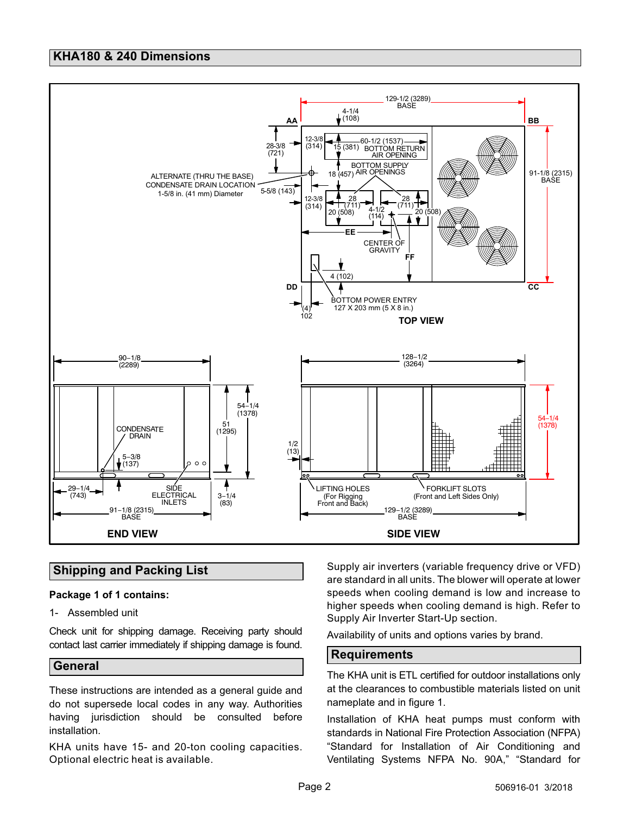### <span id="page-1-0"></span>**KHA180 & 240 Dimensions**



### **Shipping and Packing List**

### **Package 1 of 1 contains:**

1- Assembled unit

Check unit for shipping damage. Receiving party should contact last carrier immediately if shipping damage is found.

### **General**

These instructions are intended as a general guide and do not supersede local codes in any way. Authorities having jurisdiction should be consulted before installation.

KHA units have 15- and 20-ton cooling capacities. Optional electric heat is available.

Supply air inverters (variable frequency drive or VFD) are standard in all units. The blower will operate at lower speeds when cooling demand is low and increase to higher speeds when cooling demand is high. Refer to Supply Air Inverter Start-Up section.

Availability of units and options varies by brand.

### **Requirements**

The KHA unit is ETL certified for outdoor installations only at the clearances to combustible materials listed on unit nameplate and in figure [1.](#page-2-0)

Installation of KHA heat pumps must conform with standards in National Fire Protection Association (NFPA) "Standard for Installation of Air Conditioning and Ventilating Systems NFPA No. 90A," "Standard for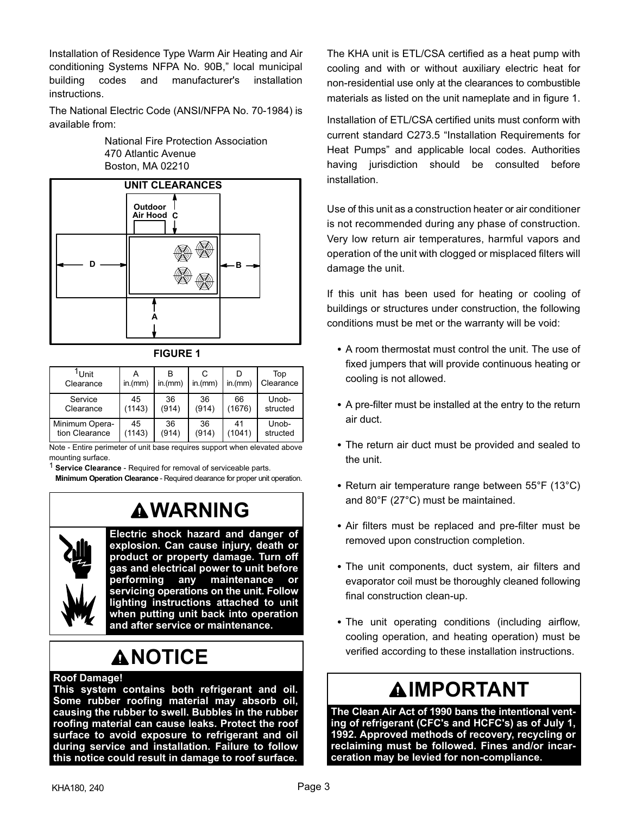<span id="page-2-0"></span>Installation of Residence Type Warm Air Heating and Air conditioning Systems NFPA No. 90B," local municipal building codes and manufacturer's installation instructions.

The National Electric Code (ANSI/NFPA No. 70-1984) is available from:

> National Fire Protection Association 470 Atlantic Avenue Boston, MA 02210



**FIGURE 1**

| <sup>1</sup> Unit<br>Clearance | in.(mm) | in.(mm) | in.(mm) | in.(mm) | Top<br>Clearance |
|--------------------------------|---------|---------|---------|---------|------------------|
| Service                        | 45      | 36      | 36      | 66      | Unob-            |
| Clearance                      | (1143)  | (914)   | (914)   | (1676)  | structed         |
| Minimum Opera-                 | 45      | 36      | 36      | 41      | Unob-            |
| tion Clearance                 | (1143)  | (914)   | (914)   | (1041)  | structed         |

Note - Entire perimeter of unit base requires support when elevated above mounting surface.

**Service Clearance - Required for removal of serviceable parts.** 

**Minimum Operation Clearance** - Required clearance for proper unit operation.

# **WARNING**



**Electric shock hazard and danger of explosion. Can cause injury, death or product or property damage. Turn off gas and electrical power to unit before performing any maintenance or servicing operations on the unit. Follow lighting instructions attached to unit when putting unit back into operation and after service or maintenance.**

# **ANOTICE**

### **Roof Damage!**

**This system contains both refrigerant and oil. Some rubber roofing material may absorb oil, causing the rubber to swell. Bubbles in the rubber roofing material can cause leaks. Protect the roof surface to avoid exposure to refrigerant and oil during service and installation. Failure to follow this notice could result in damage to roof surface.**

The KHA unit is ETL/CSA certified as a heat pump with cooling and with or without auxiliary electric heat for non-residential use only at the clearances to combustible materials as listed on the unit nameplate and in figure 1.

Installation of ETL/CSA certified units must conform with current standard C273.5 "Installation Requirements for Heat Pumps" and applicable local codes. Authorities having jurisdiction should be consulted before installation.

Use of this unit as a construction heater or air conditioner is not recommended during any phase of construction. Very low return air temperatures, harmful vapors and operation of the unit with clogged or misplaced filters will damage the unit.

If this unit has been used for heating or cooling of buildings or structures under construction, the following conditions must be met or the warranty will be void:

- A room thermostat must control the unit. The use of fixed jumpers that will provide continuous heating or cooling is not allowed.
- A pre-filter must be installed at the entry to the return air duct.
- The return air duct must be provided and sealed to the unit.
- Return air temperature range between 55°F (13°C) and 80°F (27°C) must be maintained.
- Air filters must be replaced and pre-filter must be removed upon construction completion.
- The unit components, duct system, air filters and evaporator coil must be thoroughly cleaned following final construction clean-up.
- The unit operating conditions (including airflow, cooling operation, and heating operation) must be verified according to these installation instructions.

# **IMPORTANT**

**The Clean Air Act of 1990 bans the intentional venting of refrigerant (CFC's and HCFC's) as of July 1, 1992. Approved methods of recovery, recycling or reclaiming must be followed. Fines and/or incarceration may be levied for non-compliance.**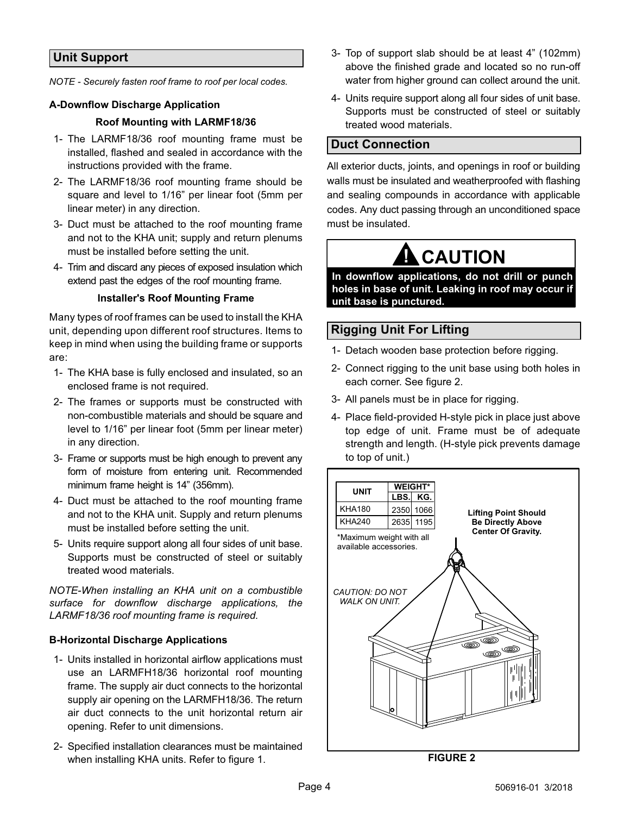### <span id="page-3-0"></span>**Unit Support**

*NOTE - Securely fasten roof frame to roof per local codes.*

### **A-Downflow Discharge Application**

### **Roof Mounting with LARMF18/36**

- 1- The LARMF18/36 roof mounting frame must be installed, flashed and sealed in accordance with the instructions provided with the frame.
- 2- The LARMF18/36 roof mounting frame should be square and level to 1/16" per linear foot (5mm per linear meter) in any direction.
- 3- Duct must be attached to the roof mounting frame and not to the KHA unit; supply and return plenums must be installed before setting the unit.
- 4- Trim and discard any pieces of exposed insulation which extend past the edges of the roof mounting frame.

### **Installer's Roof Mounting Frame**

Many types of roof frames can be used to install the KHA unit, depending upon different roof structures. Items to keep in mind when using the building frame or supports are:

- 1- The KHA base is fully enclosed and insulated, so an enclosed frame is not required.
- 2- The frames or supports must be constructed with non-combustible materials and should be square and level to 1/16" per linear foot (5mm per linear meter) in any direction.
- 3- Frame or supports must be high enough to prevent any form of moisture from entering unit. Recommended minimum frame height is 14" (356mm).
- 4- Duct must be attached to the roof mounting frame and not to the KHA unit. Supply and return plenums must be installed before setting the unit.
- 5- Units require support along all four sides of unit base. Supports must be constructed of steel or suitably treated wood materials.

*NOTE-When installing an KHA unit on a combustible surface for downflow discharge applications, the LARMF18/36 roof mounting frame is required.*

### **B-Horizontal Discharge Applications**

- 1- Units installed in horizontal airflow applications must use an LARMFH18/36 horizontal roof mounting frame. The supply air duct connects to the horizontal supply air opening on the LARMFH18/36. The return air duct connects to the unit horizontal return air opening. Refer to unit dimensions.
- 2- Specified installation clearances must be maintained when installing KHA units. Refer to figure [1.](#page-2-0)
- 3- Top of support slab should be at least 4" (102mm) above the finished grade and located so no run-off water from higher ground can collect around the unit.
- 4- Units require support along all four sides of unit base. Supports must be constructed of steel or suitably treated wood materials.

### **Duct Connection**

All exterior ducts, joints, and openings in roof or building walls must be insulated and weatherproofed with flashing and sealing compounds in accordance with applicable codes. Any duct passing through an unconditioned space must be insulated.

# **! CAUTION**

**In downflow applications, do not drill or punch holes in base of unit. Leaking in roof may occur if unit base is punctured.**

### **Rigging Unit For Lifting**

- 1- Detach wooden base protection before rigging.
- 2- Connect rigging to the unit base using both holes in each corner. See figure 2.
- 3- All panels must be in place for rigging.
- 4- Place field‐provided H‐style pick in place just above top edge of unit. Frame must be of adequate strength and length. (H-style pick prevents damage to top of unit.)



**FIGURE 2**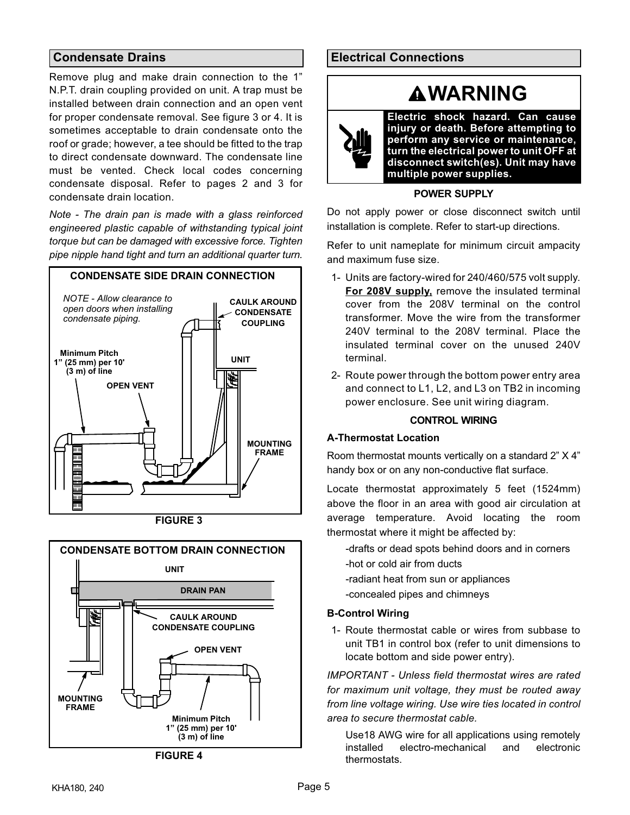### <span id="page-4-0"></span>**Condensate Drains**

Remove plug and make drain connection to the 1" N.P.T. drain coupling provided on unit. A trap must be installed between drain connection and an open vent for proper condensate removal. See figure 3 or 4. It is sometimes acceptable to drain condensate onto the roof or grade; however, a tee should be fitted to the trap to direct condensate downward. The condensate line must be vented. Check local codes concerning condensate disposal. Refer to pages 2 and 3 for condensate drain location.

*Note - The drain pan is made with a glass reinforced engineered plastic capable of withstanding typical joint torque but can be damaged with excessive force. Tighten pipe nipple hand tight and turn an additional quarter turn.*







**FIGURE 4**

### **Electrical Connections**

# **WARNING**

**Electric shock hazard. Can cause injury or death. Before attempting to perform any service or maintenance, turn the electrical power to unit OFF at disconnect switch(es). Unit may have multiple power supplies.**

### **POWER SUPPLY**

Do not apply power or close disconnect switch until installation is complete. Refer to start-up directions.

Refer to unit nameplate for minimum circuit ampacity and maximum fuse size.

- 1- Units are factory-wired for 240/460/575 volt supply. **For 208V supply,** remove the insulated terminal cover from the 208V terminal on the control transformer. Move the wire from the transformer 240V terminal to the 208V terminal. Place the insulated terminal cover on the unused 240V terminal.
- 2- Route power through the bottom power entry area and connect to L1, L2, and L3 on TB2 in incoming power enclosure. See unit wiring diagram.

### **CONTROL WIRING**

### **A-Thermostat Location**

ÁÁ Room thermostat mounts vertically on a standard 2" X 4" handy box or on any non-conductive flat surface.

ÁÁ Locate thermostat approximately 5 feet (1524mm)  $\blacksquare$  . The floor in an area with good air circulation at an area with good air circulation at average temperature. Avoid locating the room thermostat where it might be affected by:

- -drafts or dead spots behind doors and in corners
- -hot or cold air from ducts
- -radiant heat from sun or appliances
- -concealed pipes and chimneys

### **B-Control Wiring**

1- Route thermostat cable or wires from subbase to unit TB1 in control box (refer to unit dimensions to locate bottom and side power entry).

*IMPORTANT - Unless field thermostat wires are rated for maximum unit voltage, they must be routed away from line voltage wiring. Use wire ties located in control area to secure thermostat cable.*

Use18 AWG wire for all applications using remotely installed electro-mechanical and electronic thermostats.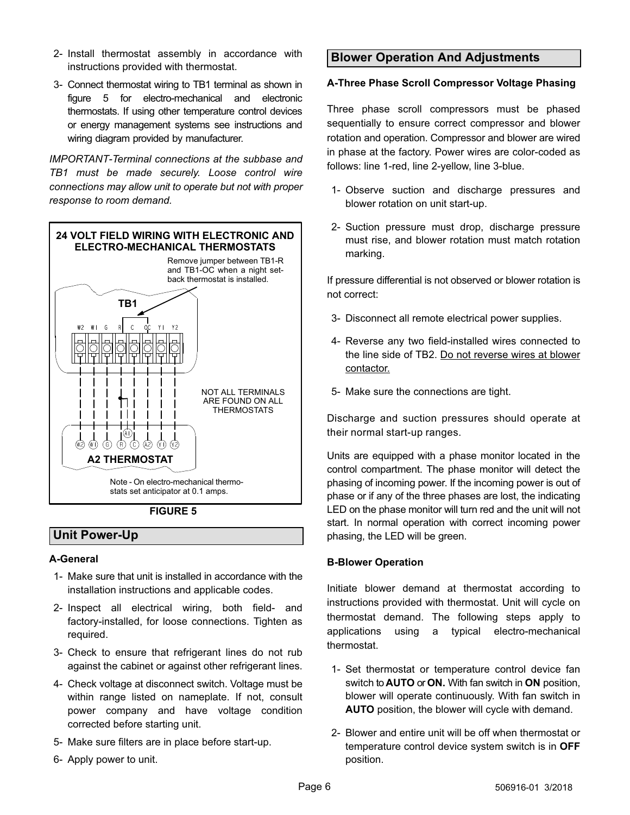- <span id="page-5-0"></span>2- Install thermostat assembly in accordance with instructions provided with thermostat.
- 3- Connect thermostat wiring to TB1 terminal as shown in figure 5 for electro-mechanical and electronic thermostats. If using other temperature control devices or energy management systems see instructions and wiring diagram provided by manufacturer.

*IMPORTANT-Terminal connections at the subbase and TB1 must be made securely. Loose control wire connections may allow unit to operate but not with proper response to room demand.*



**FIGURE 5**

### **Unit Power-Up**

### **A-General**

- 1- Make sure that unit is installed in accordance with the installation instructions and applicable codes.
- 2- Inspect all electrical wiring, both field‐ and factory‐installed, for loose connections. Tighten as required.
- 3- Check to ensure that refrigerant lines do not rub against the cabinet or against other refrigerant lines.
- 4- Check voltage at disconnect switch. Voltage must be within range listed on nameplate. If not, consult power company and have voltage condition corrected before starting unit.
- 5- Make sure filters are in place before start‐up.
- 6- Apply power to unit.

### **Blower Operation And Adjustments**

### **A-Three Phase Scroll Compressor Voltage Phasing**

Three phase scroll compressors must be phased sequentially to ensure correct compressor and blower rotation and operation. Compressor and blower are wired in phase at the factory. Power wires are color-coded as follows: line 1-red, line 2-yellow, line 3-blue.

- 1- Observe suction and discharge pressures and blower rotation on unit start-up.
- 2- Suction pressure must drop, discharge pressure must rise, and blower rotation must match rotation marking.

If pressure differential is not observed or blower rotation is not correct:

- 3- Disconnect all remote electrical power supplies.
- 4- Reverse any two field-installed wires connected to the line side of TB2. Do not reverse wires at blower contactor.
- 5- Make sure the connections are tight.

Discharge and suction pressures should operate at their normal start‐up ranges.

Units are equipped with a phase monitor located in the control compartment. The phase monitor will detect the phasing of incoming power. If the incoming power is out of phase or if any of the three phases are lost, the indicating LED on the phase monitor will turn red and the unit will not start. In normal operation with correct incoming power phasing, the LED will be green.

### **B-Blower Operation**

Initiate blower demand at thermostat according to instructions provided with thermostat. Unit will cycle on thermostat demand. The following steps apply to applications using a typical electro-mechanical thermostat.

- 1- Set thermostat or temperature control device fan switch to **AUTO** or **ON.** With fan switch in **ON** position, blower will operate continuously. With fan switch in **AUTO** position, the blower will cycle with demand.
- 2- Blower and entire unit will be off when thermostat or temperature control device system switch is in **OFF** position.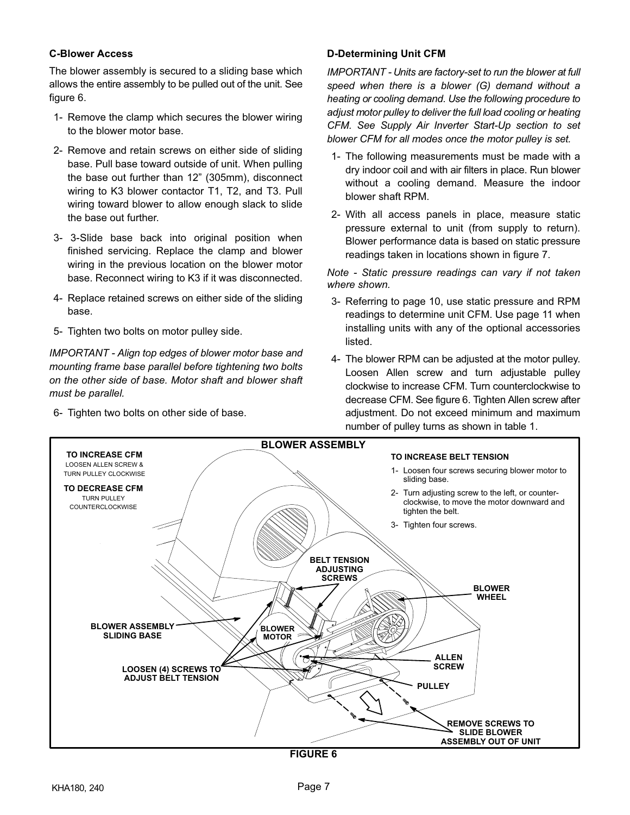### <span id="page-6-0"></span>**C-Blower Access**

The blower assembly is secured to a sliding base which allows the entire assembly to be pulled out of the unit. See figure 6.

- 1- Remove the clamp which secures the blower wiring to the blower motor base.
- 2- Remove and retain screws on either side of sliding base. Pull base toward outside of unit. When pulling the base out further than 12" (305mm), disconnect wiring to K3 blower contactor T1, T2, and T3. Pull wiring toward blower to allow enough slack to slide the base out further.
- 3- 3-Slide base back into original position when finished servicing. Replace the clamp and blower wiring in the previous location on the blower motor base. Reconnect wiring to K3 if it was disconnected.
- 4- Replace retained screws on either side of the sliding base.
- 5- Tighten two bolts on motor pulley side.

*IMPORTANT - Align top edges of blower motor base and mounting frame base parallel before tightening two bolts on the other side of base. Motor shaft and blower shaft must be parallel.*

6- Tighten two bolts on other side of base.

### **D-Determining Unit CFM**

*IMPORTANT - Units are factory-set to run the blower at full speed when there is a blower (G) demand without a heating or cooling demand. Use the following procedure to adjust motor pulley to deliver the full load cooling or heating CFM. See Supply Air Inverter Start-Up section to set blower CFM for all modes once the motor pulley is set.*

- 1- The following measurements must be made with a dry indoor coil and with air filters in place. Run blower without a cooling demand. Measure the indoor blower shaft RPM.
- 2- With all access panels in place, measure static pressure external to unit (from supply to return). Blower performance data is based on static pressure readings taken in locations shown in figure [7](#page-7-0).

*Note - Static pressure readings can vary if not taken where shown.*

- 3- Referring to page 10, use static pressure and RPM readings to determine unit CFM. Use page 11 when installing units with any of the optional accessories listed.
- 4- The blower RPM can be adjusted at the motor pulley. Loosen Allen screw and turn adjustable pulley clockwise to increase CFM. Turn counterclockwise to decrease CFM. See figure 6. Tighten Allen screw after adjustment. Do not exceed minimum and maximum number of pulley turns as shown in table [1](#page-7-0).

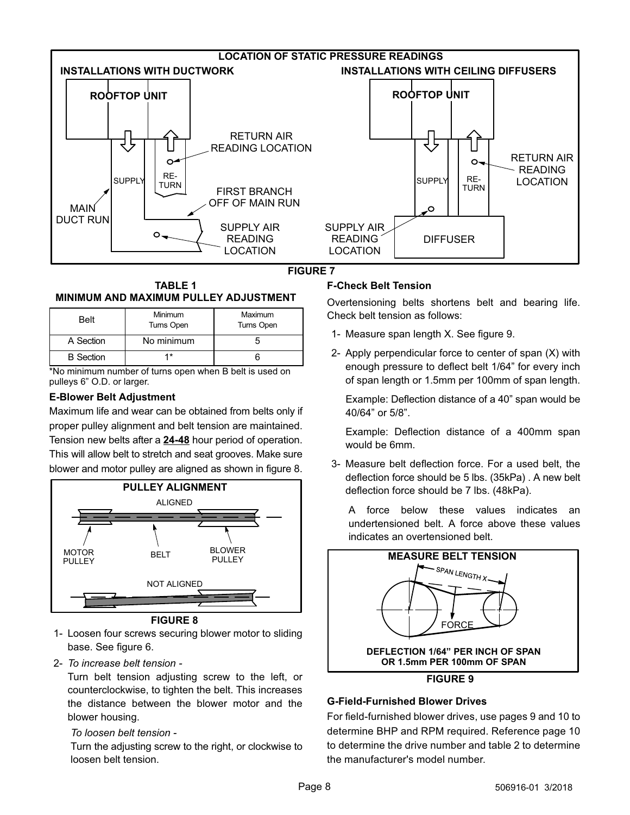<span id="page-7-0"></span>





| <b>Belt</b>      | <b>Minimum</b><br>Turns Open | Maximum<br><b>Turns Open</b> |
|------------------|------------------------------|------------------------------|
| A Section        | No minimum                   |                              |
| <b>B</b> Section | 1*                           |                              |

\*No minimum number of turns open when B belt is used on pulleys 6" O.D. or larger.

### **E-Blower Belt Adjustment**

Maximum life and wear can be obtained from belts only if proper pulley alignment and belt tension are maintained. Tension new belts after a **24-48** hour period of operation. This will allow belt to stretch and seat grooves. Make sure blower and motor pulley are aligned as shown in figure 8.



**FIGURE 8**

- 1- Loosen four screws securing blower motor to sliding base. See figure [6.](#page-6-0)
- 2- *To increase belt tension -*

Turn belt tension adjusting screw to the left, or counterclockwise, to tighten the belt. This increases the distance between the blower motor and the blower housing.

### *To loosen belt tension -*

Turn the adjusting screw to the right, or clockwise to loosen belt tension.

### **F-Check Belt Tension**

Overtensioning belts shortens belt and bearing life. Check belt tension as follows:

- 1- Measure span length X. See figure 9.
- 2- Apply perpendicular force to center of span (X) with enough pressure to deflect belt 1/64" for every inch of span length or 1.5mm per 100mm of span length.

Example: Deflection distance of a 40" span would be 40/64" or 5/8".

Example: Deflection distance of a 400mm span would be 6mm.

3- Measure belt deflection force. For a used belt, the deflection force should be 5 lbs. (35kPa) . A new belt deflection force should be 7 lbs. (48kPa).

A force below these values indicates an undertensioned belt. A force above these values indicates an overtensioned belt.



### **G-Field-Furnished Blower Drives**

For field-furnished blower drives, use pages 9 and 10 to determine BHP and RPM required. Reference page 10 to determine the drive number and table [2](#page-10-0) to determine the manufacturer's model number.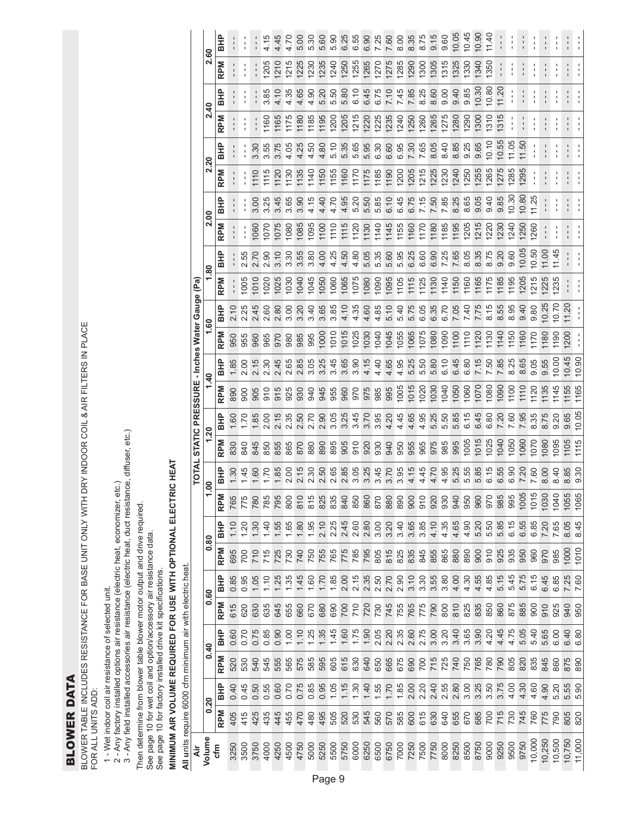**BLOWER DATA** BLOWER DATA BLOWER TABLE INCLUDES RESISTANCE FOR BASE UNIT ONLY WITH DRY INDOOR COIL & AIR FILTERS IN PLACE<br>FOR ALL UNITS ADD: BLOWER TABLE INCLUDES RESISTANCE FOR BASE UNIT ONLY WITH DRY INDOOR COIL & AIR FILTERS IN PLACE FOR ALL UNITS ADD:

1 - Wet indoor coil air resistance of selected unit.

2 - Any factory installed options air resistance (electric heat, economizer, etc.)

1 - Wet indoor coil air resistance of selected unit.<br>2 - Any factory installed options air resistance (electric heat, economizer, etc.)<br>3 - Any field installed accessories air resistance (electric heat, duct resistance, di 3 - Any field installed accessories air resistance (electric heat, duct resistance, diffuser, etc.)

Then determine from blower table blower motor output and drive required.

Then determine from blower table blower motor output and drive required.<br>See page 10 for wet coil and option/accessory air resistance data.<br>See page 10 for factory installed drive kit specifications. See page 10 for wet coil and option/accessory air resistance data.

See page 10 for factory installed drive kit specifications.

# MINIMUM AIR VOLUME REQUIRED FOR USE WITH OPTIONAL ELECTRIC HEAT **MINIMUM AIR VOLUME REQUIRED FOR USE WITH OPTIONAL ELECTRIC HEAT**

All units require 6000 cfm minimum air with electric heat. **All u**nits require 6000 cfm minimum air with electric heat.

|                                           | ငွ             | 品          |                |                      |                |                | 4.45       |                              | 5.00        | 5.30                                         | 5.60 | 5.90             | 6.25              | 6.55              | <b>G.30</b> | 7.25             | 7.60 | 8.00       | $\frac{3}{8}$ | 8.7          | 9.15 | 0.60 | 10.05                 | 10.45                                         | 10.90        | 11.40      |             |                   |            |                          |             |              |              |
|-------------------------------------------|----------------|------------|----------------|----------------------|----------------|----------------|------------|------------------------------|-------------|----------------------------------------------|------|------------------|-------------------|-------------------|-------------|------------------|------|------------|---------------|--------------|------|------|-----------------------|-----------------------------------------------|--------------|------------|-------------|-------------------|------------|--------------------------|-------------|--------------|--------------|
|                                           | Ń۰             | <b>RPM</b> |                |                      |                | 205            | <b>210</b> | 1215                         | <b>1225</b> | <b>I230</b>                                  | 1235 | 1240             | 1250              | 1255              | 1265        | 1270             | 1275 | 1285       | 1290          | <b>1300</b>  | 1305 | 315  | 1325                  | 330                                           | 1340         | 1350       |             |                   |            |                          |             |              |              |
|                                           | 2.40           | <b>BHP</b> |                |                      |                | 3.85           | 4.10       | 4.35                         | 4.65        | 4.90                                         | 5.20 | 5.50             | 5.80              | 6.10              | 6.45        | 6.75             | 7.10 | 7.45       | 7.85          | 8.25         | 8.60 | 0.00 | 9.40                  | 9.85                                          | 10.30        | 10.80      | 11.20       |                   |            |                          |             |              |              |
|                                           |                | <b>RPM</b> |                |                      |                | 1160           | 1165       | 1175                         | 1180        | 1185                                         | 1195 | 200              | 205               | 1215              | <b>220</b>  | 1225             | 1235 | 1240       | <b>250</b>    | 260          | 265  | 275  | 280                   | 290                                           | 300          | 1310       | 315         |                   |            |                          |             |              |              |
|                                           | 2.20           | <b>BHP</b> |                |                      | 3.30           | 3.55           |            | 4.05                         | 4.25        | 4.50                                         | 4.80 | $\frac{0}{2}$    | 5.35              | 5.65              | 5.95        | 6.30             | 6.60 | 6.95       | 7.30          | 7.65         | 8.05 | 8.40 | 8.85                  | 9.25                                          | 9.65         | 10.10      | 10.55       | 11.05             | 11.50      |                          |             |              |              |
|                                           |                | <b>RPM</b> |                |                      | 1110           | 1115           | 1120       | 1130                         | 1135        | 1140                                         | 1150 | 1155             | 1160              | 1170              | 1175        | 1185             | 1190 | 1200       | 1205          | 1215         | 1225 | 1230 | 1240                  | 1250                                          | 1255         | 1265       | 1275        | 1285              | 1295       |                          |             |              |              |
|                                           | <b>2.00</b>    | <b>BHP</b> |                |                      | 3.00           |                | 3.45       | 3.65                         | 3.90        | 4.15                                         | 4.40 | 4.70             | 4.95              | 5.20              | 5.50        | 5.85             | 6.10 | 6.45       | 6.75          | 7.15         | 7.50 | 7.85 | 8.25                  | 8.65                                          | 9.05         | 0.40       | 9.85        | 10.30             | 10.80      | 11.25                    |             |              |              |
|                                           |                | <b>RPM</b> |                |                      | 060            | 1070           | 1075       | 1080                         | 1085        | 095                                          | 1100 | 1110             | 1115              | <b>120</b>        | 1130        | 1140             | 1145 | 1155       | 1160          | 170          | 180  | 1185 | 1195                  | 1205                                          | <b>215</b>   | <b>220</b> | <b>1230</b> | 1240              | <b>250</b> | 260                      |             |              |              |
|                                           | $\frac{80}{2}$ | <b>BHP</b> |                | 2.55                 | 2.70           | 2.90           | 3.10       | 3.30                         | 3.55        | 3.80                                         | 4.00 | 4.25             | 4.50              | 4.80              | 5.05        | 5.35             | 5.60 | 5.95       | 6.25          | 6.60         | 6.90 | 7.25 | 7.65                  | 8.05                                          | 8.35         | 8.75       | 9.20        | 9.60              | 10.05      | 0.50                     | 11.00       | I1.45        |              |
|                                           |                | <b>RPM</b> |                | 1005                 | 1010           | 1020           | 1025       | 1030                         | 1040        | 1045                                         | 1050 | 1060             | 1065              | 1075              | 1080        | 1090             | 1095 | 1105       | 1115          | 1125         | 1130 | 1140 | 1150                  | 1160                                          | 1165         | 1175       | 1185        | 195               | 1205       | 215                      | <b>1225</b> | 235          |              |
| STATIC PRESSURE - Inches Water Gauge (Pa) | 1.60           | <b>BHP</b> |                |                      | 2.45           | 2.60           | 2.80       | 3.00                         | 3.20        | 3.40                                         | 3.65 | 3.85             | 4.10              | 4.35              | 4.60        | 4.85             | 5.10 | 5.40       | 5.75          | 6.05         | 6.35 | 6.70 | 7.05                  | 7.40                                          | 7.75         | 8.15       | 8.55        | 8.95              | 9.40       | 0.80                     | 10.25       | 0.70         | 11.20        |
|                                           |                | <b>RPM</b> | 950            | 955                  | 960            | 965            | 970        | 980                          | 985         | 995                                          | 000  | 010              | 015               | 1025              | <b>030</b>  | 1040             | 1045 | 1055       | 1065          | 1075         | 080  | 1090 | 1100                  | 1110                                          | 1120         | 1130       | 1140        | 1150              | 1160       | 170                      | 1180        | 190          | <b>200</b>   |
|                                           | 1.40           | <b>BHP</b> | 1.85           | 2.00                 | 2.15           | 2.30           | 2.45       | 2.65                         | 2.85        | 3.05                                         | 3.25 | 3.45             | 3.65              | 3.90              | 4.15        | 4.40             | 4.65 | 4.95       | 5.25          | 5.50         | 5.80 | 6.10 | 6.45                  | 6.80                                          | 7.15         | 7.50       | 7.85        | 8.25              | 8.65       | 0.05                     | 9.55        | 0.00         | 0.45         |
|                                           |                | <b>RPM</b> | 890            | 900                  | 905            | $\frac{0}{9}$  | 915        | 925                          | 930         | 940                                          | 945  | 955              | 960               | 970               | 975         | 985              | 995  | 1005       | 1015          | 1020         | 1030 | 1040 | 1050                  | 1060                                          | 1070         | 1080       | 090         | $\frac{100}{100}$ | 1110       | <b>20</b>                | 135         | 1145         | 1155         |
|                                           |                | <b>BHP</b> | 00.1           | 021                  | 1.85           | 2.00           | 2.15       | 2.35                         | 2.50        | 2.70                                         | 2.90 | 3.05             | 3.25              | 3.45              | 3.70        | 3.95             | 4.20 | 4.45       | 4.65          | 4.95         | 5.25 | 5.50 | 5.85                  | 6.15                                          | 6.45         | 6.80       | 7.20        | 7.60              | 7.95       | 8.35                     | 8.75        | 0.20         | 9.65         |
|                                           | 1.20           | <b>RPM</b> | 830            | 840                  | 845            | 850            | 855        | 865                          | 870         | 880                                          | 890  | 895              | 905               | 910               | 920         | 930              | 940  | 950        | 955           | 965          | 975  | 985  | 995                   | 1005                                          | 1015         | 1025       | 1040        | 050               | 1060       | 070                      | 080         | 1095         | 1105         |
| TOTAL                                     | $\overline{0}$ | <b>BHP</b> | 1.30           | 1.45                 | 1.60           | 1.70           | 1.85       | 2.00                         | 2.15        | 2.30                                         | 2.50 | 2.65             | 2.85              | 3.05              | 3.25        | 3.45             | 3.70 | 3.95       | 4.15          | 4.45         | 4.70 | 4.95 | 5.25                  | 555                                           | 5.85         | 6.15       | 6.55        | 6.90              | 7.20       | 7.60                     | 8.00        | 8.40         | 8.85         |
|                                           |                | <b>RPM</b> | 765            | 775                  |                | 785<br>785     | 795        | 800                          | 810         | 815                                          | 825  | 835              | 840               | 850<br>860<br>870 |             |                  | 880  |            |               | 910<br>910   | 920  | 930  | 940                   | 950                                           | 960<br>970   |            | 985         | 995               |            | 1005<br>1015             | 1030        | 1040         | 1055<br>1065 |
|                                           |                | 움          | $\frac{10}{1}$ | $\overline{5}$       | $\frac{30}{2}$ | $\frac{40}{1}$ | 1.55       | 1.65                         |             | $1.80$<br>$1.95$                             |      | $2.10$<br>$2.25$ | $2.45$<br>$2.60$  |                   |             | $2.80$<br>$3.00$ | 3.20 | 3.40       |               |              |      |      |                       |                                               | 5.20<br>5.50 |            | 5.85        | 6.15              |            | 6.55<br>6.85             | 7.20        |              | 8.45<br>8.05 |
|                                           | 0.80           | <b>RPM</b> | 695            | 315<br>217<br>2027   |                |                |            | 725<br>730                   |             | 2006<br>2006<br>2006<br>2006<br>2006<br>2006 |      |                  |                   |                   |             |                  |      |            |               |              |      |      |                       | 890                                           |              |            |             | 0.588888          |            |                          | 970         | 985          | 1000         |
|                                           |                | 움          |                |                      |                |                |            | $0.85000000000000$           |             |                                              |      |                  |                   |                   |             |                  |      |            |               |              |      |      |                       |                                               |              |            |             |                   |            |                          |             |              |              |
|                                           | 0.60           | <b>RPM</b> | 615            | 620                  |                | 630<br>635     |            | 645<br>655                   | 660         | 670                                          | 680  | 690              |                   | 8228<br>822       |             |                  |      |            |               |              |      |      |                       | 25657588887                                   |              | 835<br>850 |             | 865<br>888<br>889 |            |                          |             | 910<br>925   | 950<br>950   |
|                                           |                | 움          |                | 0.67<br>0.75<br>0.00 |                |                |            | 0.90                         |             |                                              |      |                  |                   |                   |             |                  |      |            |               |              |      |      |                       |                                               |              |            |             | 4.45<br>4.75      |            | 5.05<br>5.40             |             | 5.65<br>6.00 | 6.40<br>6.80 |
|                                           | 0.40           | <b>RPM</b> | 520            | 530                  | 540            | 545            | 555        | 565                          |             | 575<br>585                                   | 595  |                  | 605<br>615<br>630 |                   |             | 640<br>650       |      | 665<br>675 |               |              |      |      |                       | 88055888<br>8805588                           |              | 765<br>780 |             |                   |            | 790<br>800<br>800<br>845 |             | 860          | 875<br>890   |
|                                           |                | 움          | 0.40           | 0.45                 |                | 0.50<br>0.55   | 0.60       | 0.70                         |             | 0.75<br>0.85                                 | 0.95 |                  | 1.30              |                   |             | 1.55             | 1.70 | 1.85       |               | 2.00<br>2.20 |      |      | 2.55<br>2.55<br>2.2.0 | 3.00                                          | 3.25         | 3.50       | 3.75        | 4.00              | 4.30       | 4.60                     | 4.90        | 5.20         | 5.55<br>5.90 |
|                                           | 0.20           | <b>RPM</b> |                |                      |                |                |            | $4444444$ $4608846$ $669868$ |             | 78988888                                     |      |                  |                   |                   | 545<br>560  |                  |      |            |               |              |      |      |                       |                                               |              |            |             |                   |            |                          | 775         | 790          | 805<br>820   |
| Äir                                       | Volume         | cfm        | 3250           | 3500                 | 3750           | 4000           | 4250       | 4500                         | 4750        | 5000                                         | 5250 | 5500             | 5750              | 6000              |             | 6250<br>6500     |      |            |               |              |      |      |                       | 6750<br>7000<br>7250<br>77500<br>8500<br>8500 | 8750<br>9000 |            |             | 9250<br>9500      |            | 9750<br>10,000           | 10,250      | 10,500       | 10,750       |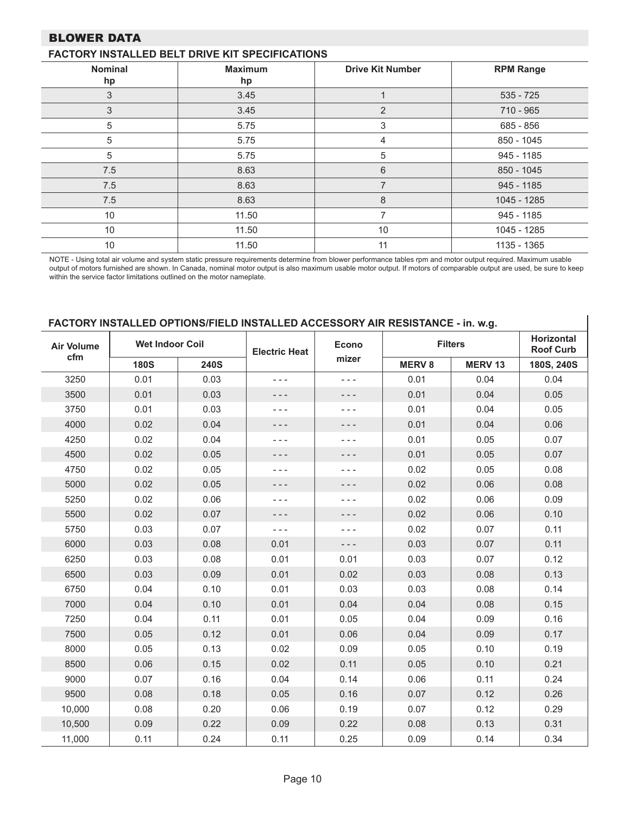### BLOWER DATA

### **FACTORY INSTALLED BELT DRIVE KIT SPECIFICATIONS**

| <b>Nominal</b><br>hp | <b>Maximum</b><br>hp | <b>Drive Kit Number</b> | <b>RPM Range</b> |
|----------------------|----------------------|-------------------------|------------------|
| 3                    | 3.45                 |                         | $535 - 725$      |
| 3                    | 3.45                 | 2                       | 710 - 965        |
| 5                    | 5.75                 | 3                       | 685 - 856        |
| 5                    | 5.75                 | 4                       | 850 - 1045       |
| 5                    | 5.75                 | 5                       | 945 - 1185       |
| 7.5                  | 8.63                 | 6                       | 850 - 1045       |
| 7.5                  | 8.63                 | $\overline{7}$          | 945 - 1185       |
| 7.5                  | 8.63                 | 8                       | 1045 - 1285      |
| 10                   | 11.50                | 7                       | 945 - 1185       |
| 10                   | 11.50                | 10                      | 1045 - 1285      |
| 10                   | 11.50                | 11                      | 1135 - 1365      |

NOTE - Using total air volume and system static pressure requirements determine from blower performance tables rpm and motor output required. Maximum usable output of motors furnished are shown. In Canada, nominal motor output is also maximum usable motor output. If motors of comparable output are used, be sure to keep within the service factor limitations outlined on the motor nameplate.

### **FACTORY INSTALLED OPTIONS/FIELD INSTALLED ACCESSORY AIR RESISTANCE - in. w.g.**

| <b>Air Volume</b> | <b>Wet Indoor Coil</b> |             | <b>Electric Heat</b> | <b>Econo</b> |               | <b>Filters</b> | <b>Horizontal</b><br><b>Roof Curb</b> |  |
|-------------------|------------------------|-------------|----------------------|--------------|---------------|----------------|---------------------------------------|--|
| cfm               | <b>180S</b>            | <b>240S</b> |                      | mizer        | <b>MERV 8</b> | <b>MERV 13</b> | 180S, 240S                            |  |
| 3250              | 0.01                   | 0.03        | - - -                | - - -        | 0.01          | 0.04           | 0.04                                  |  |
| 3500              | 0.01                   | 0.03        | - - -                | - - -        | 0.01          | 0.04           | 0.05                                  |  |
| 3750              | 0.01                   | 0.03        | $- - -$              | $- - -$      | 0.01          | 0.04           | 0.05                                  |  |
| 4000              | 0.02                   | 0.04        | - - -                | - - -        | 0.01          | 0.04           | 0.06                                  |  |
| 4250              | 0.02                   | 0.04        | - - -                | - - -        | 0.01          | 0.05           | 0.07                                  |  |
| 4500              | 0.02                   | 0.05        | - - -                | - - -        | 0.01          | 0.05           | 0.07                                  |  |
| 4750              | 0.02                   | 0.05        | - - -                | - - -        | 0.02          | 0.05           | 0.08                                  |  |
| 5000              | 0.02                   | 0.05        | - - -                | - - -        | 0.02          | 0.06           | 0.08                                  |  |
| 5250              | 0.02                   | 0.06        | - - -                | - - -        | 0.02          | 0.06           | 0.09                                  |  |
| 5500              | 0.02                   | 0.07        | - - -                | - - -        | 0.02          | 0.06           | 0.10                                  |  |
| 5750              | 0.03                   | 0.07        | $- - -$              | - - -        | 0.02          | 0.07           | 0.11                                  |  |
| 6000              | 0.03                   | 0.08        | 0.01                 | - - -        | 0.03          | 0.07           | 0.11                                  |  |
| 6250              | 0.03                   | 0.08        | 0.01                 | 0.01         | 0.03          | 0.07           | 0.12                                  |  |
| 6500              | 0.03                   | 0.09        | 0.01                 | 0.02         | 0.03          | 0.08           | 0.13                                  |  |
| 6750              | 0.04                   | 0.10        | 0.01                 | 0.03         | 0.03          | 0.08           | 0.14                                  |  |
| 7000              | 0.04                   | 0.10        | 0.01                 | 0.04         | 0.04          | 0.08           | 0.15                                  |  |
| 7250              | 0.04                   | 0.11        | 0.01                 | 0.05         | 0.04          | 0.09           | 0.16                                  |  |
| 7500              | 0.05                   | 0.12        | 0.01                 | 0.06         | 0.04          | 0.09           | 0.17                                  |  |
| 8000              | 0.05                   | 0.13        | 0.02                 | 0.09         | 0.05          | 0.10           | 0.19                                  |  |
| 8500              | 0.06                   | 0.15        | 0.02                 | 0.11         | 0.05          | 0.10           | 0.21                                  |  |
| 9000              | 0.07                   | 0.16        | 0.04                 | 0.14         | 0.06          | 0.11           | 0.24                                  |  |
| 9500              | 0.08                   | 0.18        | 0.05                 | 0.16         | 0.07          | 0.12           | 0.26                                  |  |
| 10,000            | 0.08                   | 0.20        | 0.06                 | 0.19         | 0.07          | 0.12           | 0.29                                  |  |
| 10,500            | 0.09                   | 0.22        | 0.09                 | 0.22         | 0.08          | 0.13           | 0.31                                  |  |
| 11,000            | 0.11                   | 0.24        | 0.11                 | 0.25         | 0.09          | 0.14           | 0.34                                  |  |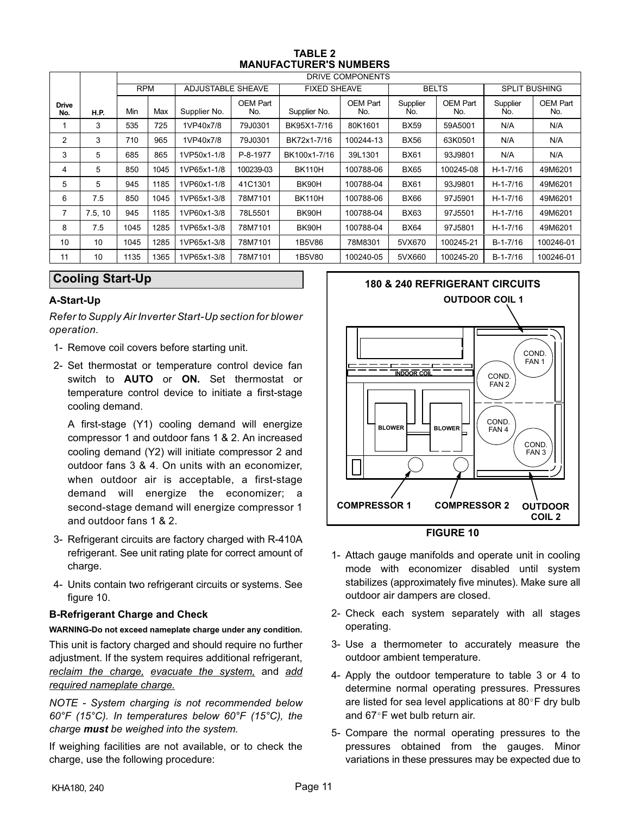| <b>TABLE 2</b>                |
|-------------------------------|
| <b>MANUFACTURER'S NUMBERS</b> |

<span id="page-10-0"></span>

|                     |             |      |                                                                                                       |              |                 |               | DRIVE COMPONENTS |                 |                 |                 |                 |
|---------------------|-------------|------|-------------------------------------------------------------------------------------------------------|--------------|-----------------|---------------|------------------|-----------------|-----------------|-----------------|-----------------|
|                     |             |      | <b>RPM</b><br><b>ADJUSTABLE SHEAVE</b><br><b>BELTS</b><br><b>FIXED SHEAVE</b><br><b>SPLIT BUSHING</b> |              |                 |               |                  |                 |                 |                 |                 |
| <b>Drive</b><br>No. | <b>H.P.</b> | Min  | Max                                                                                                   | Supplier No. | OEM Part<br>No. | Supplier No.  | OEM Part<br>No.  | Supplier<br>No. | OEM Part<br>No. | Supplier<br>No. | OEM Part<br>No. |
|                     | 3           | 535  | 725                                                                                                   | 1VP40x7/8    | 79J0301         | BK95X1-7/16   | 80K1601          | <b>BX59</b>     | 59A5001         | N/A             | N/A             |
| 2                   | 3           | 710  | 965                                                                                                   | 1VP40x7/8    | 79J0301         | BK72x1-7/16   | 100244-13        | <b>BX56</b>     | 63K0501         | N/A             | N/A             |
| 3                   | 5           | 685  | 865                                                                                                   | 1VP50x1-1/8  | P-8-1977        | BK100x1-7/16  | 39L1301          | <b>BX61</b>     | 93J9801         | N/A             | N/A             |
| 4                   | 5           | 850  | 1045                                                                                                  | 1VP65x1-1/8  | 100239-03       | <b>BK110H</b> | 100788-06        | <b>BX65</b>     | 100245-08       | $H - 1 - 7/16$  | 49M6201         |
| 5                   | 5           | 945  | 1185                                                                                                  | 1VP60x1-1/8  | 41C1301         | BK90H         | 100788-04        | <b>BX61</b>     | 93J9801         | $H - 1 - 7/16$  | 49M6201         |
| 6                   | 7.5         | 850  | 1045                                                                                                  | 1VP65x1-3/8  | 78M7101         | <b>BK110H</b> | 100788-06        | <b>BX66</b>     | 97J5901         | $H-1-7/16$      | 49M6201         |
| 7                   | 7.5, 10     | 945  | 1185                                                                                                  | 1VP60x1-3/8  | 78L5501         | BK90H         | 100788-04        | <b>BX63</b>     | 97J5501         | $H - 1 - 7/16$  | 49M6201         |
| 8                   | 7.5         | 1045 | 1285                                                                                                  | 1VP65x1-3/8  | 78M7101         | BK90H         | 100788-04        | <b>BX64</b>     | 97J5801         | $H - 1 - 7/16$  | 49M6201         |
| 10                  | 10          | 1045 | 1285                                                                                                  | 1VP65x1-3/8  | 78M7101         | 1B5V86        | 78M8301          | 5VX670          | 100245-21       | $B-1-7/16$      | 100246-01       |
| 11                  | 10          | 1135 | 1365                                                                                                  | 1VP65x1-3/8  | 78M7101         | 1B5V80        | 100240-05        | 5VX660          | 100245-20       | $B-1-7/16$      | 100246-01       |

### **Cooling Start-Up**

### **A-Start-Up**

*Refer to Supply Air Inverter Start-Up section for blower operation.*

- 1- Remove coil covers before starting unit.
- 2- Set thermostat or temperature control device fan switch to **AUTO** or **ON.** Set thermostat or temperature control device to initiate a first-stage cooling demand.

A first-stage (Y1) cooling demand will energize compressor 1 and outdoor fans 1 & 2. An increased cooling demand (Y2) will initiate compressor 2 and outdoor fans 3 & 4. On units with an economizer, when outdoor air is acceptable, a first-stage demand will energize the economizer; a second-stage demand will energize compressor 1 and outdoor fans 1 & 2.

- 3- Refrigerant circuits are factory charged with R-410A refrigerant. See unit rating plate for correct amount of charge.
- 4- Units contain two refrigerant circuits or systems. See figure 10.

### **B-Refrigerant Charge and Check**

**WARNING-Do not exceed nameplate charge under any condition.** This unit is factory charged and should require no further adjustment. If the system requires additional refrigerant, *reclaim the charge, evacuate the system,* and *add required nameplate charge.*

*NOTE - System charging is not recommended below 60°F (15°C). In temperatures below 60°F (15°C), the charge must be weighed into the system.*

If weighing facilities are not available, or to check the charge, use the following procedure:



- 1- Attach gauge manifolds and operate unit in cooling mode with economizer disabled until system stabilizes (approximately five minutes). Make sure all outdoor air dampers are closed.
- 2- Check each system separately with all stages operating.
- 3- Use a thermometer to accurately measure the outdoor ambient temperature.
- 4- Apply the outdoor temperature to table [3](#page-11-0) or [4](#page-11-0) to determine normal operating pressures. Pressures are listed for sea level applications at  $80^{\circ}$ F dry bulb and  $67^{\circ}$ F wet bulb return air.
- 5- Compare the normal operating pressures to the pressures obtained from the gauges. Minor variations in these pressures may be expected due to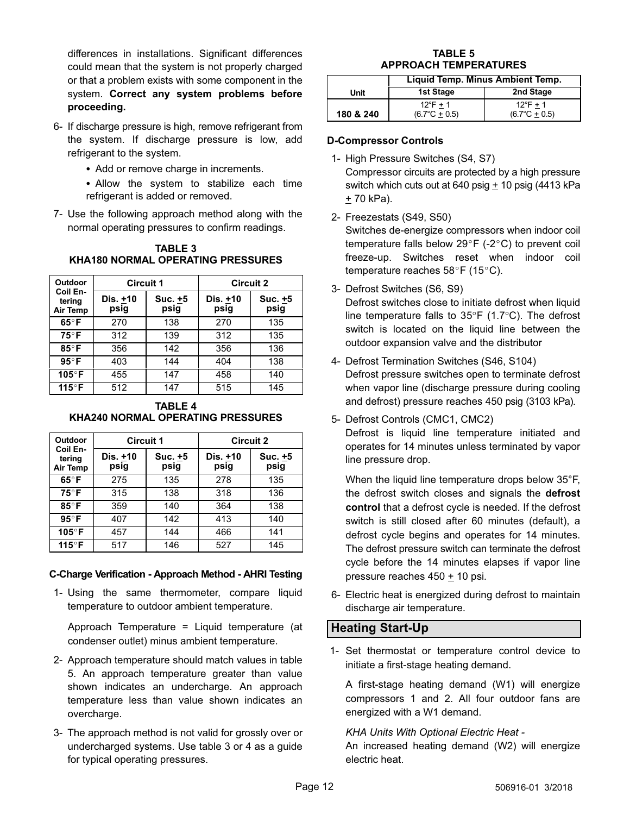<span id="page-11-0"></span>differences in installations. Significant differences could mean that the system is not properly charged or that a problem exists with some component in the system. **Correct any system problems before proceeding.**

- 6- If discharge pressure is high, remove refrigerant from the system. If discharge pressure is low, add refrigerant to the system.
	- Add or remove charge in increments.
	- Allow the system to stabilize each time refrigerant is added or removed.
- 7- Use the following approach method along with the normal operating pressures to confirm readings.

| <b>Outdoor</b>                 | <b>Circuit 1</b> |                 | <b>Circuit 2</b>   |                 |  |  |  |
|--------------------------------|------------------|-----------------|--------------------|-----------------|--|--|--|
| Coil En-<br>tering<br>Air Temp | Dis. +10<br>psig | Suc. +5<br>psig | Dis. $±10$<br>psig | Suc. +5<br>psig |  |  |  |
| $65^\circ F$                   | 270              | 138             | 270                | 135             |  |  |  |
| $75^{\circ}$ F                 | 312              | 139             | 312                | 135             |  |  |  |
| $85^\circ$ F                   | 356              | 142             | 356                | 136             |  |  |  |
| $95^\circ$ F                   | 403              | 144             | 404                | 138             |  |  |  |
| 105°F                          | 455              | 147             | 458                | 140             |  |  |  |
| 115°F                          | 512              | 147             | 515                | 145             |  |  |  |

**TABLE 3 KHA180 NORMAL OPERATING PRESSURES**

### **TABLE 4 KHA240 NORMAL OPERATING PRESSURES**

| Outdoor                        | <b>Circuit 1</b> |                 | <b>Circuit 2</b> |                 |  |  |  |
|--------------------------------|------------------|-----------------|------------------|-----------------|--|--|--|
| Coil En-<br>tering<br>Air Temp | Dis. +10<br>psig | Suc. +5<br>psig | Dis. +10<br>psig | Suc. +5<br>psig |  |  |  |
| $65^{\circ}$ F                 | 275              | 135             | 278              | 135             |  |  |  |
| $75^\circ F$                   | 315              | 138             | 318              | 136             |  |  |  |
| $85^\circ$ F                   | 359              | 140             | 364              | 138             |  |  |  |
| $95^\circ$ F                   | 407              | 142             | 413              | 140             |  |  |  |
| 105°F                          | 457              | 144             | 466              | 141             |  |  |  |
| 115°F                          | 517              | 146             | 527              | 145             |  |  |  |

### **C-Charge Verification - Approach Method - AHRI Testing**

1- Using the same thermometer, compare liquid temperature to outdoor ambient temperature.

Approach Temperature = Liquid temperature (at condenser outlet) minus ambient temperature.

- 2- Approach temperature should match values in table 5. An approach temperature greater than value shown indicates an undercharge. An approach temperature less than value shown indicates an overcharge.
- 3- The approach method is not valid for grossly over or undercharged systems. Use table 3 or 4 as a guide for typical operating pressures.

### **TABLE 5 APPROACH TEMPERATURES**

|           | Liquid Temp. Minus Ambient Temp.             |                                             |  |  |  |  |  |  |
|-----------|----------------------------------------------|---------------------------------------------|--|--|--|--|--|--|
| Unit      | 1st Stage                                    | 2nd Stage                                   |  |  |  |  |  |  |
| 180 & 240 | $12^{\circ}$ F + 1<br>$(6.7^{\circ}C + 0.5)$ | $12^{\circ}F + 1$<br>$(6.7^{\circ}C + 0.5)$ |  |  |  |  |  |  |

### **D-Compressor Controls**

- 1- High Pressure Switches (S4, S7) Compressor circuits are protected by a high pressure switch which cuts out at 640 psig  $\pm$  10 psig (4413 kPa  $+ 70$  kPa).
- 2- Freezestats (S49, S50)

Switches de-energize compressors when indoor coil temperature falls below  $29^{\circ}F$  (-2 $^{\circ}C$ ) to prevent coil freeze-up. Switches reset when indoor coil temperature reaches  $58^{\circ}$ F (15°C).

3- Defrost Switches (S6, S9)

Defrost switches close to initiate defrost when liquid line temperature falls to 35°F (1.7°C). The defrost switch is located on the liquid line between the outdoor expansion valve and the distributor

- 4- Defrost Termination Switches (S46, S104) Defrost pressure switches open to terminate defrost when vapor line (discharge pressure during cooling and defrost) pressure reaches 450 psig (3103 kPa).
- 5- Defrost Controls (CMC1, CMC2)

Defrost is liquid line temperature initiated and operates for 14 minutes unless terminated by vapor line pressure drop.

When the liquid line temperature drops below 35°F, the defrost switch closes and signals the **defrost control** that a defrost cycle is needed. If the defrost switch is still closed after 60 minutes (default), a defrost cycle begins and operates for 14 minutes. The defrost pressure switch can terminate the defrost cycle before the 14 minutes elapses if vapor line pressure reaches 450 ± 10 psi.

6- Electric heat is energized during defrost to maintain discharge air temperature.

### **Heating Start-Up**

 1- Set thermostat or temperature control device to initiate a first-stage heating demand.

A first-stage heating demand (W1) will energize compressors 1 and 2. All four outdoor fans are energized with a W1 demand.

*KHA Units With Optional Electric Heat -*

An increased heating demand (W2) will energize electric heat.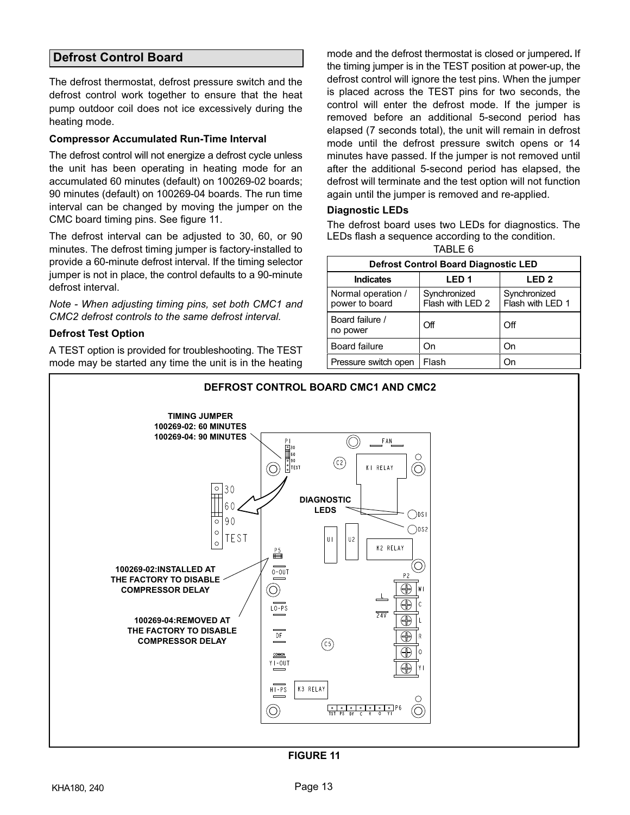### <span id="page-12-0"></span>**Defrost Control Board**

The defrost thermostat, defrost pressure switch and the defrost control work together to ensure that the heat pump outdoor coil does not ice excessively during the heating mode.

### **Compressor Accumulated Run-Time Interval**

The defrost control will not energize a defrost cycle unless the unit has been operating in heating mode for an accumulated 60 minutes (default) on 100269-02 boards; 90 minutes (default) on 100269-04 boards. The run time interval can be changed by moving the jumper on the CMC board timing pins. See figure 11.

The defrost interval can be adjusted to 30, 60, or 90 minutes. The defrost timing jumper is factory-installed to provide a 60-minute defrost interval. If the timing selector jumper is not in place, the control defaults to a 90-minute defrost interval.

*Note - When adjusting timing pins, set both CMC1 and CMC2 defrost controls to the same defrost interval.*

### **Defrost Test Option**

A TEST option is provided for troubleshooting. The TEST mode may be started any time the unit is in the heating

mode and the defrost thermostat is closed or jumpered**.** If the timing jumper is in the TEST position at power‐up, the defrost control will ignore the test pins. When the jumper is placed across the TEST pins for two seconds, the control will enter the defrost mode. If the jumper is removed before an additional 5-second period has elapsed (7 seconds total), the unit will remain in defrost mode until the defrost pressure switch opens or 14 minutes have passed. If the jumper is not removed until after the additional 5-second period has elapsed, the defrost will terminate and the test option will not function again until the jumper is removed and re-applied.

### **Diagnostic LEDs**

The defrost board uses two LEDs for diagnostics. The LEDs flash a sequence according to the condition.

|--|

| <b>Defrost Control Board Diagnostic LED</b> |                                  |                                  |  |
|---------------------------------------------|----------------------------------|----------------------------------|--|
| <b>Indicates</b>                            | LED <sub>1</sub>                 | LED <sub>2</sub>                 |  |
| Normal operation /<br>power to board        | Synchronized<br>Flash with LED 2 | Synchronized<br>Flash with LED 1 |  |
| Board failure /<br>no power                 | Off                              | Off                              |  |
| Board failure                               | On                               | On                               |  |
| Pressure switch open                        | Flash                            | On                               |  |



### **FIGURE 11**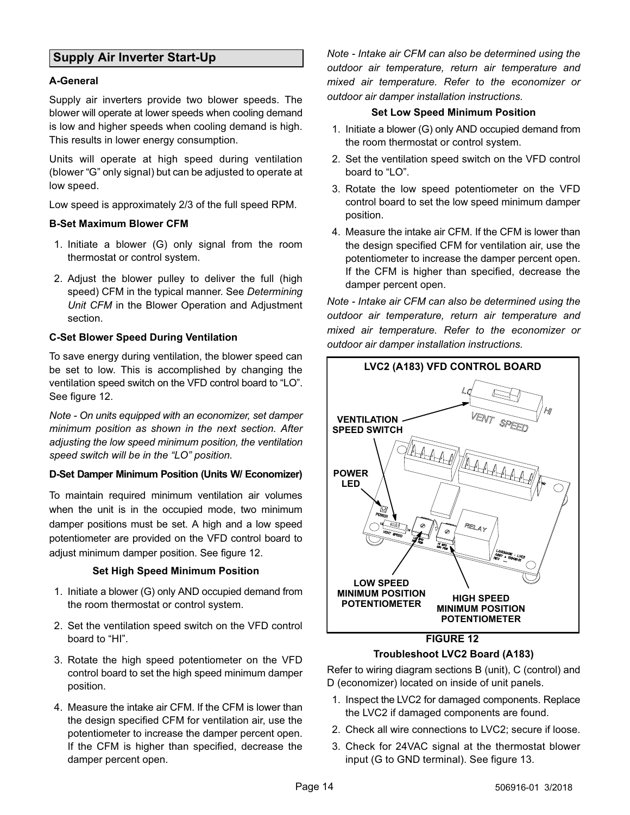### <span id="page-13-0"></span>**Supply Air Inverter Start-Up**

### **A-General**

Supply air inverters provide two blower speeds. The blower will operate at lower speeds when cooling demand is low and higher speeds when cooling demand is high. This results in lower energy consumption.

Units will operate at high speed during ventilation (blower "G" only signal) but can be adjusted to operate at low speed.

Low speed is approximately 2/3 of the full speed RPM.

### **B-Set Maximum Blower CFM**

- 1. Initiate a blower (G) only signal from the room thermostat or control system.
- 2. Adjust the blower pulley to deliver the full (high speed) CFM in the typical manner. See *Determining Unit CFM* in the Blower Operation and Adjustment section.

### **C-Set Blower Speed During Ventilation**

To save energy during ventilation, the blower speed can be set to low. This is accomplished by changing the ventilation speed switch on the VFD control board to "LO". See figure 12.

*Note - On units equipped with an economizer, set damper minimum position as shown in the next section. After adjusting the low speed minimum position, the ventilation speed switch will be in the "LO" position.*

### **D-Set Damper Minimum Position (Units W/ Economizer)**

To maintain required minimum ventilation air volumes when the unit is in the occupied mode, two minimum damper positions must be set. A high and a low speed potentiometer are provided on the VFD control board to adjust minimum damper position. See figure 12.

### **Set High Speed Minimum Position**

- 1. Initiate a blower (G) only AND occupied demand from the room thermostat or control system.
- 2. Set the ventilation speed switch on the VFD control board to "HI".
- 3. Rotate the high speed potentiometer on the VFD control board to set the high speed minimum damper position.
- 4. Measure the intake air CFM. If the CFM is lower than the design specified CFM for ventilation air, use the potentiometer to increase the damper percent open. If the CFM is higher than specified, decrease the damper percent open.

*Note - Intake air CFM can also be determined using the outdoor air temperature, return air temperature and mixed air temperature. Refer to the economizer or outdoor air damper installation instructions.*

### **Set Low Speed Minimum Position**

- 1. Initiate a blower (G) only AND occupied demand from the room thermostat or control system.
- 2. Set the ventilation speed switch on the VFD control board to "LO".
- 3. Rotate the low speed potentiometer on the VFD control board to set the low speed minimum damper position.
- 4. Measure the intake air CFM. If the CFM is lower than the design specified CFM for ventilation air, use the potentiometer to increase the damper percent open. If the CFM is higher than specified, decrease the damper percent open.

*Note - Intake air CFM can also be determined using the outdoor air temperature, return air temperature and mixed air temperature. Refer to the economizer or outdoor air damper installation instructions.*



**Troubleshoot LVC2 Board (A183)**

Refer to wiring diagram sections B (unit), C (control) and D (economizer) located on inside of unit panels.

- 1. Inspect the LVC2 for damaged components. Replace the LVC2 if damaged components are found.
- 2. Check all wire connections to LVC2; secure if loose.
- 3. Check for 24VAC signal at the thermostat blower input (G to GND terminal). See figure [13.](#page-14-0)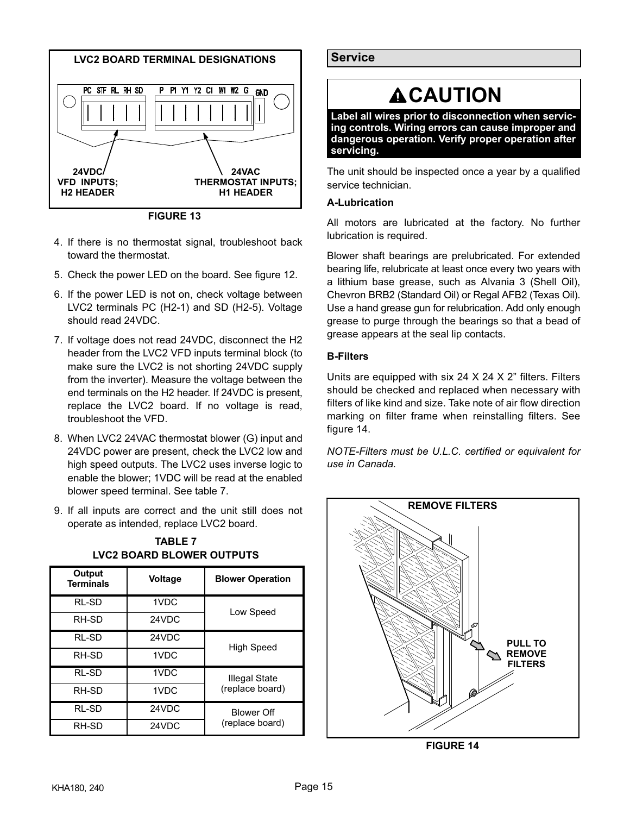<span id="page-14-0"></span>

**FIGURE 13**

- 4. If there is no thermostat signal, troubleshoot back toward the thermostat.
- 5. Check the power LED on the board. See figure [12.](#page-13-0)
- 6. If the power LED is not on, check voltage between LVC2 terminals PC (H2-1) and SD (H2-5). Voltage should read 24VDC.
- 7. If voltage does not read 24VDC, disconnect the H2 header from the LVC2 VFD inputs terminal block (to make sure the LVC2 is not shorting 24VDC supply from the inverter). Measure the voltage between the end terminals on the H2 header. If 24VDC is present, replace the LVC2 board. If no voltage is read, troubleshoot the VFD.
- 8. When LVC2 24VAC thermostat blower (G) input and 24VDC power are present, check the LVC2 low and high speed outputs. The LVC2 uses inverse logic to enable the blower; 1VDC will be read at the enabled blower speed terminal. See table 7.
- 9. If all inputs are correct and the unit still does not operate as intended, replace LVC2 board.

| Output<br><b>Terminals</b> | <b>Voltage</b> | <b>Blower Operation</b>              |
|----------------------------|----------------|--------------------------------------|
| RL-SD                      | 1VDC           | Low Speed                            |
| RH-SD                      | 24VDC          |                                      |
| RL-SD                      | 24VDC          | <b>High Speed</b>                    |
| RH-SD                      | 1VDC           |                                      |
| RL-SD                      | 1VDC           | Illegal State<br>(replace board)     |
| RH-SD                      | 1VDC           |                                      |
| RL-SD                      | 24VDC          | <b>Blower Off</b><br>(replace board) |
| RH-SD                      | 24VDC          |                                      |

**TABLE 7 LVC2 BOARD BLOWER OUTPUTS**

**Service** 

# **ACAUTION**

**Label all wires prior to disconnection when servicing controls. Wiring errors can cause improper and dangerous operation. Verify proper operation after servicing.**

The unit should be inspected once a year by a qualified service technician.

### **A-Lubrication**

All motors are lubricated at the factory. No further lubrication is required.

Blower shaft bearings are prelubricated. For extended bearing life, relubricate at least once every two years with a lithium base grease, such as Alvania 3 (Shell Oil), Chevron BRB2 (Standard Oil) or Regal AFB2 (Texas Oil). Use a hand grease gun for relubrication. Add only enough grease to purge through the bearings so that a bead of grease appears at the seal lip contacts.

### **B-Filters**

Units are equipped with six 24  $\times$  24  $\times$  2" filters. Filters should be checked and replaced when necessary with filters of like kind and size. Take note of air flow direction marking on filter frame when reinstalling filters. See figure 14.

*NOTE-Filters must be U.L.C. certified or equivalent for use in Canada.*



**FIGURE 14**